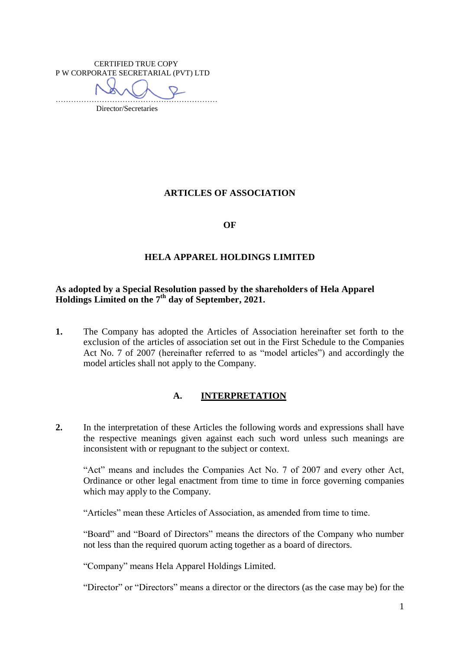CERTIFIED TRUE COPY P W CORPORATE SECRETARIAL (PVT) LTD ……………………………………………………… Director/Secretaries

**ARTICLES OF ASSOCIATION**

**OF**

#### **HELA APPAREL HOLDINGS LIMITED**

#### **As adopted by a Special Resolution passed by the shareholders of Hela Apparel Holdings Limited on the 7 th day of September, 2021.**

**1.** The Company has adopted the Articles of Association hereinafter set forth to the exclusion of the articles of association set out in the First Schedule to the Companies Act No. 7 of 2007 (hereinafter referred to as "model articles") and accordingly the model articles shall not apply to the Company.

#### **A. INTERPRETATION**

**2.** In the interpretation of these Articles the following words and expressions shall have the respective meanings given against each such word unless such meanings are inconsistent with or repugnant to the subject or context.

"Act" means and includes the Companies Act No. 7 of 2007 and every other Act, Ordinance or other legal enactment from time to time in force governing companies which may apply to the Company.

"Articles" mean these Articles of Association, as amended from time to time.

"Board" and "Board of Directors" means the directors of the Company who number not less than the required quorum acting together as a board of directors.

"Company" means Hela Apparel Holdings Limited.

"Director" or "Directors" means a director or the directors (as the case may be) for the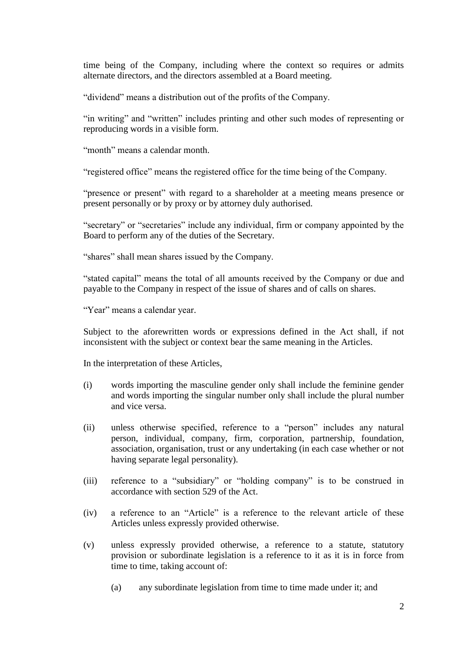time being of the Company, including where the context so requires or admits alternate directors, and the directors assembled at a Board meeting.

"dividend" means a distribution out of the profits of the Company.

"in writing" and "written" includes printing and other such modes of representing or reproducing words in a visible form.

"month" means a calendar month.

"registered office" means the registered office for the time being of the Company.

"presence or present" with regard to a shareholder at a meeting means presence or present personally or by proxy or by attorney duly authorised.

"secretary" or "secretaries" include any individual, firm or company appointed by the Board to perform any of the duties of the Secretary.

"shares" shall mean shares issued by the Company.

"stated capital" means the total of all amounts received by the Company or due and payable to the Company in respect of the issue of shares and of calls on shares.

"Year" means a calendar year.

Subject to the aforewritten words or expressions defined in the Act shall, if not inconsistent with the subject or context bear the same meaning in the Articles.

In the interpretation of these Articles,

- (i) words importing the masculine gender only shall include the feminine gender and words importing the singular number only shall include the plural number and vice versa.
- (ii) unless otherwise specified, reference to a "person" includes any natural person, individual, company, firm, corporation, partnership, foundation, association, organisation, trust or any undertaking (in each case whether or not having separate legal personality).
- (iii) reference to a "subsidiary" or "holding company" is to be construed in accordance with section 529 of the Act.
- (iv) a reference to an "Article" is a reference to the relevant article of these Articles unless expressly provided otherwise.
- (v) unless expressly provided otherwise, a reference to a statute, statutory provision or subordinate legislation is a reference to it as it is in force from time to time, taking account of:
	- (a) any subordinate legislation from time to time made under it; and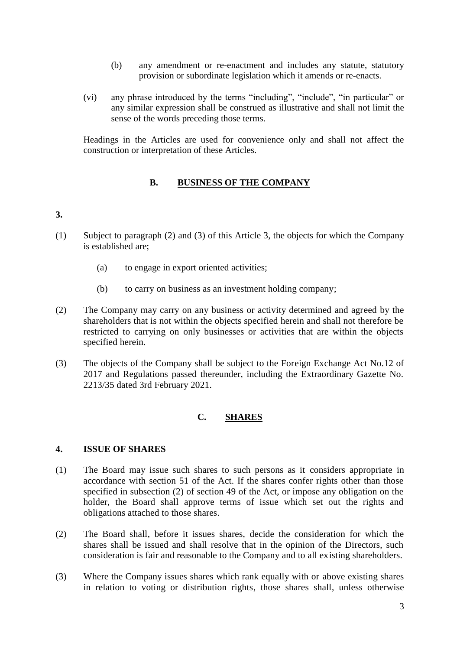- (b) any amendment or re-enactment and includes any statute, statutory provision or subordinate legislation which it amends or re-enacts.
- (vi) any phrase introduced by the terms "including", "include", "in particular" or any similar expression shall be construed as illustrative and shall not limit the sense of the words preceding those terms.

Headings in the Articles are used for convenience only and shall not affect the construction or interpretation of these Articles.

### **B. BUSINESS OF THE COMPANY**

## **3.**

- (1) Subject to paragraph (2) and (3) of this Article 3, the objects for which the Company is established are;
	- (a) to engage in export oriented activities;
	- (b) to carry on business as an investment holding company;
- (2) The Company may carry on any business or activity determined and agreed by the shareholders that is not within the objects specified herein and shall not therefore be restricted to carrying on only businesses or activities that are within the objects specified herein.
- (3) The objects of the Company shall be subject to the Foreign Exchange Act No.12 of 2017 and Regulations passed thereunder, including the Extraordinary Gazette No. 2213/35 dated 3rd February 2021.

## **C. SHARES**

#### **4. ISSUE OF SHARES**

- (1) The Board may issue such shares to such persons as it considers appropriate in accordance with section 51 of the Act. If the shares confer rights other than those specified in subsection (2) of section 49 of the Act, or impose any obligation on the holder, the Board shall approve terms of issue which set out the rights and obligations attached to those shares.
- (2) The Board shall, before it issues shares, decide the consideration for which the shares shall be issued and shall resolve that in the opinion of the Directors, such consideration is fair and reasonable to the Company and to all existing shareholders.
- (3) Where the Company issues shares which rank equally with or above existing shares in relation to voting or distribution rights, those shares shall, unless otherwise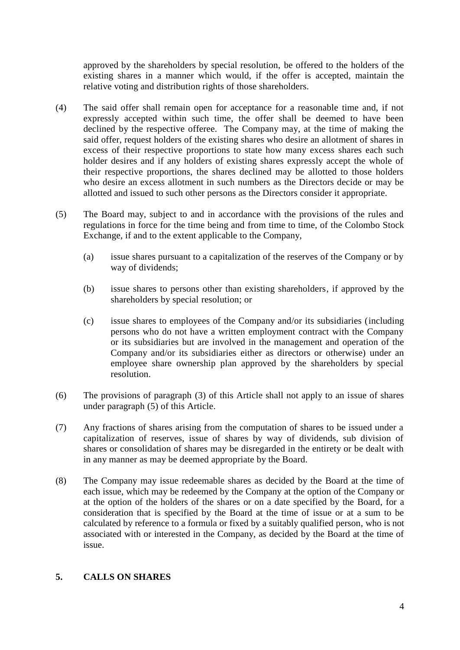approved by the shareholders by special resolution, be offered to the holders of the existing shares in a manner which would, if the offer is accepted, maintain the relative voting and distribution rights of those shareholders.

- (4) The said offer shall remain open for acceptance for a reasonable time and, if not expressly accepted within such time, the offer shall be deemed to have been declined by the respective offeree. The Company may, at the time of making the said offer, request holders of the existing shares who desire an allotment of shares in excess of their respective proportions to state how many excess shares each such holder desires and if any holders of existing shares expressly accept the whole of their respective proportions, the shares declined may be allotted to those holders who desire an excess allotment in such numbers as the Directors decide or may be allotted and issued to such other persons as the Directors consider it appropriate.
- (5) The Board may, subject to and in accordance with the provisions of the rules and regulations in force for the time being and from time to time, of the Colombo Stock Exchange, if and to the extent applicable to the Company,
	- (a) issue shares pursuant to a capitalization of the reserves of the Company or by way of dividends;
	- (b) issue shares to persons other than existing shareholders, if approved by the shareholders by special resolution; or
	- (c) issue shares to employees of the Company and/or its subsidiaries (including persons who do not have a written employment contract with the Company or its subsidiaries but are involved in the management and operation of the Company and/or its subsidiaries either as directors or otherwise) under an employee share ownership plan approved by the shareholders by special resolution.
- (6) The provisions of paragraph (3) of this Article shall not apply to an issue of shares under paragraph (5) of this Article.
- (7) Any fractions of shares arising from the computation of shares to be issued under a capitalization of reserves, issue of shares by way of dividends, sub division of shares or consolidation of shares may be disregarded in the entirety or be dealt with in any manner as may be deemed appropriate by the Board.
- (8) The Company may issue redeemable shares as decided by the Board at the time of each issue, which may be redeemed by the Company at the option of the Company or at the option of the holders of the shares or on a date specified by the Board, for a consideration that is specified by the Board at the time of issue or at a sum to be calculated by reference to a formula or fixed by a suitably qualified person, who is not associated with or interested in the Company, as decided by the Board at the time of issue.

#### **5. CALLS ON SHARES**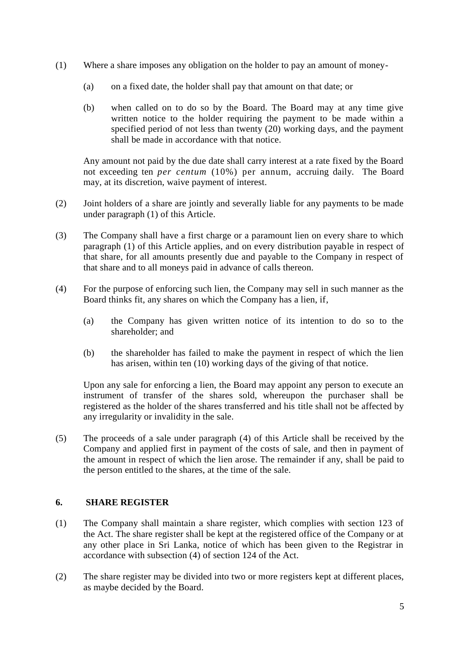- (1) Where a share imposes any obligation on the holder to pay an amount of money-
	- (a) on a fixed date, the holder shall pay that amount on that date; or
	- (b) when called on to do so by the Board. The Board may at any time give written notice to the holder requiring the payment to be made within a specified period of not less than twenty (20) working days, and the payment shall be made in accordance with that notice.

Any amount not paid by the due date shall carry interest at a rate fixed by the Board not exceeding ten *per centum* (10%) per annum, accruing daily. The Board may, at its discretion, waive payment of interest.

- (2) Joint holders of a share are jointly and severally liable for any payments to be made under paragraph (1) of this Article.
- (3) The Company shall have a first charge or a paramount lien on every share to which paragraph (1) of this Article applies, and on every distribution payable in respect of that share, for all amounts presently due and payable to the Company in respect of that share and to all moneys paid in advance of calls thereon.
- (4) For the purpose of enforcing such lien, the Company may sell in such manner as the Board thinks fit, any shares on which the Company has a lien, if,
	- (a) the Company has given written notice of its intention to do so to the shareholder; and
	- (b) the shareholder has failed to make the payment in respect of which the lien has arisen, within ten (10) working days of the giving of that notice.

Upon any sale for enforcing a lien, the Board may appoint any person to execute an instrument of transfer of the shares sold, whereupon the purchaser shall be registered as the holder of the shares transferred and his title shall not be affected by any irregularity or invalidity in the sale.

(5) The proceeds of a sale under paragraph (4) of this Article shall be received by the Company and applied first in payment of the costs of sale, and then in payment of the amount in respect of which the lien arose. The remainder if any, shall be paid to the person entitled to the shares, at the time of the sale.

#### **6. SHARE REGISTER**

- (1) The Company shall maintain a share register, which complies with section 123 of the Act. The share register shall be kept at the registered office of the Company or at any other place in Sri Lanka, notice of which has been given to the Registrar in accordance with subsection (4) of section 124 of the Act.
- (2) The share register may be divided into two or more registers kept at different places, as maybe decided by the Board.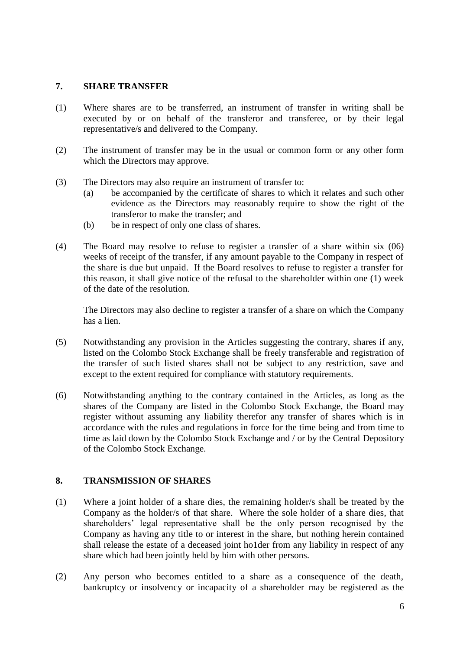### **7. SHARE TRANSFER**

- (1) Where shares are to be transferred, an instrument of transfer in writing shall be executed by or on behalf of the transferor and transferee, or by their legal representative/s and delivered to the Company.
- (2) The instrument of transfer may be in the usual or common form or any other form which the Directors may approve.
- (3) The Directors may also require an instrument of transfer to:
	- (a) be accompanied by the certificate of shares to which it relates and such other evidence as the Directors may reasonably require to show the right of the transferor to make the transfer; and
	- (b) be in respect of only one class of shares.
- (4) The Board may resolve to refuse to register a transfer of a share within six (06) weeks of receipt of the transfer, if any amount payable to the Company in respect of the share is due but unpaid. If the Board resolves to refuse to register a transfer for this reason, it shall give notice of the refusal to the shareholder within one (1) week of the date of the resolution.

The Directors may also decline to register a transfer of a share on which the Company has a lien.

- (5) Notwithstanding any provision in the Articles suggesting the contrary, shares if any, listed on the Colombo Stock Exchange shall be freely transferable and registration of the transfer of such listed shares shall not be subject to any restriction, save and except to the extent required for compliance with statutory requirements.
- (6) Notwithstanding anything to the contrary contained in the Articles, as long as the shares of the Company are listed in the Colombo Stock Exchange, the Board may register without assuming any liability therefor any transfer of shares which is in accordance with the rules and regulations in force for the time being and from time to time as laid down by the Colombo Stock Exchange and / or by the Central Depository of the Colombo Stock Exchange.

## **8. TRANSMISSION OF SHARES**

- (1) Where a joint holder of a share dies, the remaining holder/s shall be treated by the Company as the holder/s of that share. Where the sole holder of a share dies, that shareholders' legal representative shall be the only person recognised by the Company as having any title to or interest in the share, but nothing herein contained shall release the estate of a deceased joint ho1der from any liability in respect of any share which had been jointly held by him with other persons.
- (2) Any person who becomes entitled to a share as a consequence of the death, bankruptcy or insolvency or incapacity of a shareholder may be registered as the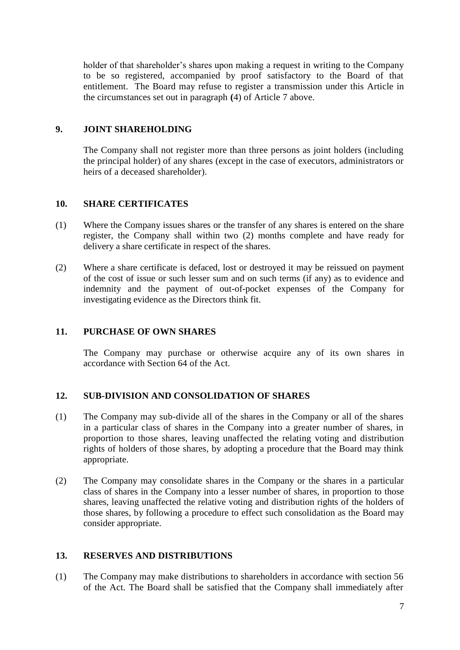holder of that shareholder's shares upon making a request in writing to the Company to be so registered, accompanied by proof satisfactory to the Board of that entitlement. The Board may refuse to register a transmission under this Article in the circumstances set out in paragraph **(**4) of Article 7 above.

## **9. JOINT SHAREHOLDING**

The Company shall not register more than three persons as joint holders (including the principal holder) of any shares (except in the case of executors, administrators or heirs of a deceased shareholder).

## **10. SHARE CERTIFICATES**

- (1) Where the Company issues shares or the transfer of any shares is entered on the share register, the Company shall within two (2) months complete and have ready for delivery a share certificate in respect of the shares.
- (2) Where a share certificate is defaced, lost or destroyed it may be reissued on payment of the cost of issue or such lesser sum and on such terms (if any) as to evidence and indemnity and the payment of out-of-pocket expenses of the Company for investigating evidence as the Directors think fit.

## **11. PURCHASE OF OWN SHARES**

The Company may purchase or otherwise acquire any of its own shares in accordance with Section 64 of the Act.

## **12. SUB-DIVISION AND CONSOLIDATION OF SHARES**

- (1) The Company may sub-divide all of the shares in the Company or all of the shares in a particular class of shares in the Company into a greater number of shares, in proportion to those shares, leaving unaffected the relating voting and distribution rights of holders of those shares, by adopting a procedure that the Board may think appropriate.
- (2) The Company may consolidate shares in the Company or the shares in a particular class of shares in the Company into a lesser number of shares, in proportion to those shares, leaving unaffected the relative voting and distribution rights of the holders of those shares, by following a procedure to effect such consolidation as the Board may consider appropriate.

## **13. RESERVES AND DISTRIBUTIONS**

(1) The Company may make distributions to shareholders in accordance with section 56 of the Act. The Board shall be satisfied that the Company shall immediately after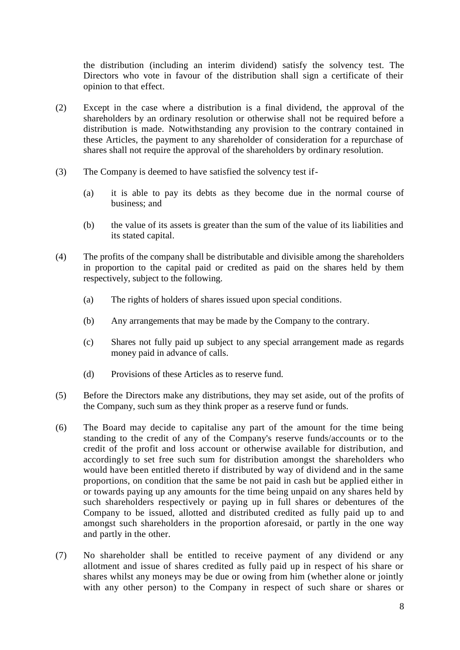the distribution (including an interim dividend) satisfy the solvency test. The Directors who vote in favour of the distribution shall sign a certificate of their opinion to that effect.

- (2) Except in the case where a distribution is a final dividend, the approval of the shareholders by an ordinary resolution or otherwise shall not be required before a distribution is made. Notwithstanding any provision to the contrary contained in these Articles, the payment to any shareholder of consideration for a repurchase of shares shall not require the approval of the shareholders by ordinary resolution.
- (3) The Company is deemed to have satisfied the solvency test if-
	- (a) it is able to pay its debts as they become due in the normal course of business; and
	- (b) the value of its assets is greater than the sum of the value of its liabilities and its stated capital.
- (4) The profits of the company shall be distributable and divisible among the shareholders in proportion to the capital paid or credited as paid on the shares held by them respectively, subject to the following.
	- (a) The rights of holders of shares issued upon special conditions.
	- (b) Any arrangements that may be made by the Company to the contrary.
	- (c) Shares not fully paid up subject to any special arrangement made as regards money paid in advance of calls.
	- (d) Provisions of these Articles as to reserve fund.
- (5) Before the Directors make any distributions, they may set aside, out of the profits of the Company, such sum as they think proper as a reserve fund or funds.
- (6) The Board may decide to capitalise any part of the amount for the time being standing to the credit of any of the Company's reserve funds/accounts or to the credit of the profit and loss account or otherwise available for distribution, and accordingly to set free such sum for distribution amongst the shareholders who would have been entitled thereto if distributed by way of dividend and in the same proportions, on condition that the same be not paid in cash but be applied either in or towards paying up any amounts for the time being unpaid on any shares held by such shareholders respectively or paying up in full shares or debentures of the Company to be issued, allotted and distributed credited as fully paid up to and amongst such shareholders in the proportion aforesaid, or partly in the one way and partly in the other.
- (7) No shareholder shall be entitled to receive payment of any dividend or any allotment and issue of shares credited as fully paid up in respect of his share or shares whilst any moneys may be due or owing from him (whether alone or jointly with any other person) to the Company in respect of such share or shares or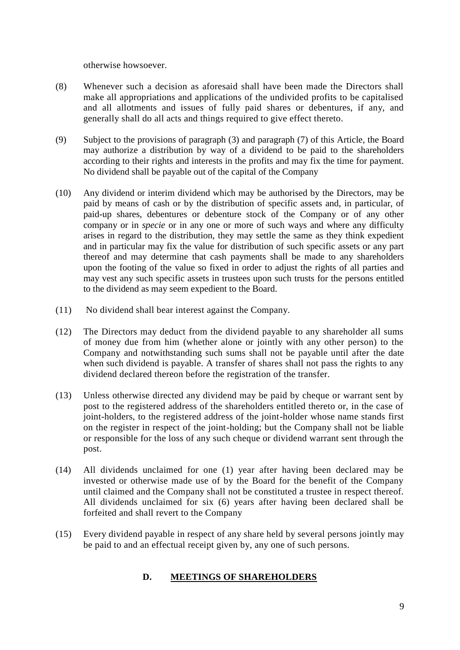otherwise howsoever.

- (8) Whenever such a decision as aforesaid shall have been made the Directors shall make all appropriations and applications of the undivided profits to be capitalised and all allotments and issues of fully paid shares or debentures, if any, and generally shall do all acts and things required to give effect thereto.
- (9) Subject to the provisions of paragraph (3) and paragraph (7) of this Article, the Board may authorize a distribution by way of a dividend to be paid to the shareholders according to their rights and interests in the profits and may fix the time for payment. No dividend shall be payable out of the capital of the Company
- (10) Any dividend or interim dividend which may be authorised by the Directors, may be paid by means of cash or by the distribution of specific assets and, in particular, of paid-up shares, debentures or debenture stock of the Company or of any other company or in *specie* or in any one or more of such ways and where any difficulty arises in regard to the distribution, they may settle the same as they think expedient and in particular may fix the value for distribution of such specific assets or any part thereof and may determine that cash payments shall be made to any shareholders upon the footing of the value so fixed in order to adjust the rights of all parties and may vest any such specific assets in trustees upon such trusts for the persons entitled to the dividend as may seem expedient to the Board.
- (11) No dividend shall bear interest against the Company.
- (12) The Directors may deduct from the dividend payable to any shareholder all sums of money due from him (whether alone or jointly with any other person) to the Company and notwithstanding such sums shall not be payable until after the date when such dividend is payable. A transfer of shares shall not pass the rights to any dividend declared thereon before the registration of the transfer.
- (13) Unless otherwise directed any dividend may be paid by cheque or warrant sent by post to the registered address of the shareholders entitled thereto or, in the case of joint-holders, to the registered address of the joint-holder whose name stands first on the register in respect of the joint-holding; but the Company shall not be liable or responsible for the loss of any such cheque or dividend warrant sent through the post.
- (14) All dividends unclaimed for one (1) year after having been declared may be invested or otherwise made use of by the Board for the benefit of the Company until claimed and the Company shall not be constituted a trustee in respect thereof. All dividends unclaimed for six (6) years after having been declared shall be forfeited and shall revert to the Company
- (15) Every dividend payable in respect of any share held by several persons jointly may be paid to and an effectual receipt given by, any one of such persons.

## **D. MEETINGS OF SHAREHOLDERS**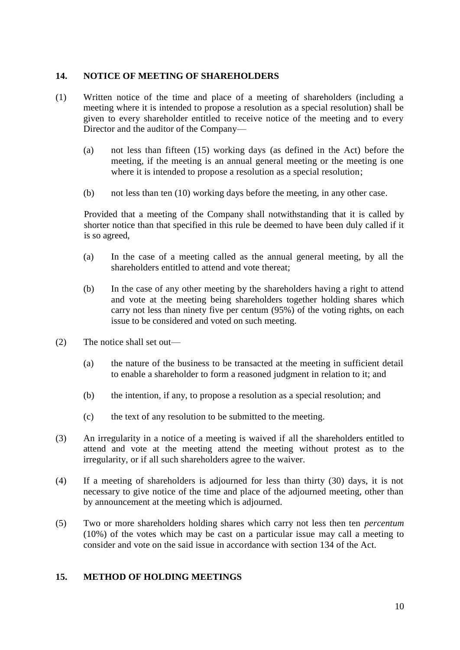### **14. NOTICE OF MEETING OF SHAREHOLDERS**

- (1) Written notice of the time and place of a meeting of shareholders (including a meeting where it is intended to propose a resolution as a special resolution) shall be given to every shareholder entitled to receive notice of the meeting and to every Director and the auditor of the Company—
	- (a) not less than fifteen (15) working days (as defined in the Act) before the meeting, if the meeting is an annual general meeting or the meeting is one where it is intended to propose a resolution as a special resolution;
	- (b) not less than ten (10) working days before the meeting, in any other case.

Provided that a meeting of the Company shall notwithstanding that it is called by shorter notice than that specified in this rule be deemed to have been duly called if it is so agreed,

- (a) In the case of a meeting called as the annual general meeting, by all the shareholders entitled to attend and vote thereat;
- (b) In the case of any other meeting by the shareholders having a right to attend and vote at the meeting being shareholders together holding shares which carry not less than ninety five per centum (95%) of the voting rights, on each issue to be considered and voted on such meeting.
- (2) The notice shall set out—
	- (a) the nature of the business to be transacted at the meeting in sufficient detail to enable a shareholder to form a reasoned judgment in relation to it; and
	- (b) the intention, if any, to propose a resolution as a special resolution; and
	- (c) the text of any resolution to be submitted to the meeting.
- (3) An irregularity in a notice of a meeting is waived if all the shareholders entitled to attend and vote at the meeting attend the meeting without protest as to the irregularity, or if all such shareholders agree to the waiver.
- (4) If a meeting of shareholders is adjourned for less than thirty (30) days, it is not necessary to give notice of the time and place of the adjourned meeting, other than by announcement at the meeting which is adjourned.
- (5) Two or more shareholders holding shares which carry not less then ten *percentum* (10%) of the votes which may be cast on a particular issue may call a meeting to consider and vote on the said issue in accordance with section 134 of the Act.

#### **15. METHOD OF HOLDING MEETINGS**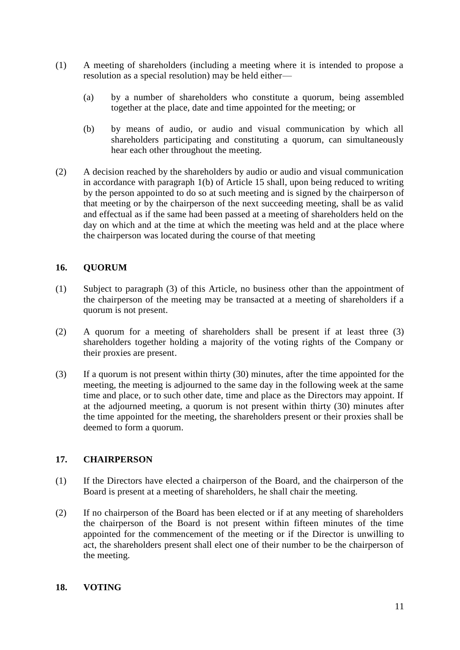- (1) A meeting of shareholders (including a meeting where it is intended to propose a resolution as a special resolution) may be held either—
	- (a) by a number of shareholders who constitute a quorum, being assembled together at the place, date and time appointed for the meeting; or
	- (b) by means of audio, or audio and visual communication by which all shareholders participating and constituting a quorum, can simultaneously hear each other throughout the meeting.
- (2) A decision reached by the shareholders by audio or audio and visual communication in accordance with paragraph 1(b) of Article 15 shall, upon being reduced to writing by the person appointed to do so at such meeting and is signed by the chairperson of that meeting or by the chairperson of the next succeeding meeting, shall be as valid and effectual as if the same had been passed at a meeting of shareholders held on the day on which and at the time at which the meeting was held and at the place where the chairperson was located during the course of that meeting

## **16. QUORUM**

- (1) Subject to paragraph (3) of this Article, no business other than the appointment of the chairperson of the meeting may be transacted at a meeting of shareholders if a quorum is not present.
- (2) A quorum for a meeting of shareholders shall be present if at least three (3) shareholders together holding a majority of the voting rights of the Company or their proxies are present.
- (3) If a quorum is not present within thirty (30) minutes, after the time appointed for the meeting, the meeting is adjourned to the same day in the following week at the same time and place, or to such other date, time and place as the Directors may appoint. If at the adjourned meeting, a quorum is not present within thirty (30) minutes after the time appointed for the meeting, the shareholders present or their proxies shall be deemed to form a quorum.

## **17. CHAIRPERSON**

- (1) If the Directors have elected a chairperson of the Board, and the chairperson of the Board is present at a meeting of shareholders, he shall chair the meeting.
- (2) If no chairperson of the Board has been elected or if at any meeting of shareholders the chairperson of the Board is not present within fifteen minutes of the time appointed for the commencement of the meeting or if the Director is unwilling to act, the shareholders present shall elect one of their number to be the chairperson of the meeting.

## **18. VOTING**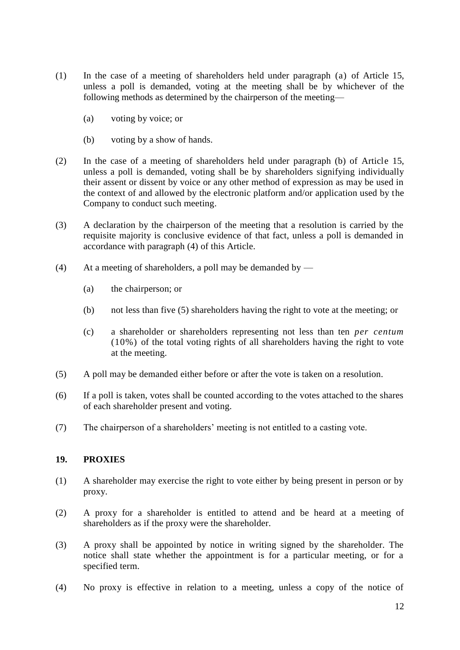- (1) In the case of a meeting of shareholders held under paragraph (a) of Article 15, unless a poll is demanded, voting at the meeting shall be by whichever of the following methods as determined by the chairperson of the meeting—
	- (a) voting by voice; or
	- (b) voting by a show of hands.
- (2) In the case of a meeting of shareholders held under paragraph (b) of Article 15, unless a poll is demanded, voting shall be by shareholders signifying individually their assent or dissent by voice or any other method of expression as may be used in the context of and allowed by the electronic platform and/or application used by the Company to conduct such meeting.
- (3) A declaration by the chairperson of the meeting that a resolution is carried by the requisite majority is conclusive evidence of that fact, unless a poll is demanded in accordance with paragraph (4) of this Article.
- (4) At a meeting of shareholders, a poll may be demanded by  $-$ 
	- (a) the chairperson; or
	- (b) not less than five (5) shareholders having the right to vote at the meeting; or
	- (c) a shareholder or shareholders representing not less than ten *per centum*  (10%) of the total voting rights of all shareholders having the right to vote at the meeting.
- (5) A poll may be demanded either before or after the vote is taken on a resolution.
- (6) If a poll is taken, votes shall be counted according to the votes attached to the shares of each shareholder present and voting.
- (7) The chairperson of a shareholders' meeting is not entitled to a casting vote.

#### **19. PROXIES**

- (1) A shareholder may exercise the right to vote either by being present in person or by proxy.
- (2) A proxy for a shareholder is entitled to attend and be heard at a meeting of shareholders as if the proxy were the shareholder.
- (3) A proxy shall be appointed by notice in writing signed by the shareholder. The notice shall state whether the appointment is for a particular meeting, or for a specified term.
- (4) No proxy is effective in relation to a meeting, unless a copy of the notice of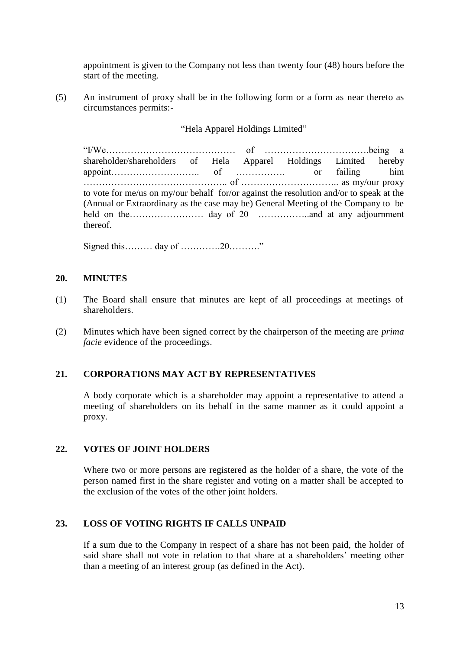appointment is given to the Company not less than twenty four (48) hours before the start of the meeting.

(5) An instrument of proxy shall be in the following form or a form as near thereto as circumstances permits:-

#### "Hela Apparel Holdings Limited"

"I/We…………………………………… of …………………………….being a shareholder/shareholders of Hela Apparel Holdings Limited hereby appoint……………………….. of ……………. or failing him ……………………………………….. of ………………………….. as my/our proxy to vote for me/us on my/our behalf for/or against the resolution and/or to speak at the (Annual or Extraordinary as the case may be) General Meeting of the Company to be held on the…………………… day of 20 ……………..and at any adjournment thereof.

Signed this……… day of ………….20………."

#### **20. MINUTES**

- (1) The Board shall ensure that minutes are kept of all proceedings at meetings of shareholders.
- (2) Minutes which have been signed correct by the chairperson of the meeting are *prima facie* evidence of the proceedings.

#### **21. CORPORATIONS MAY ACT BY REPRESENTATIVES**

A body corporate which is a shareholder may appoint a representative to attend a meeting of shareholders on its behalf in the same manner as it could appoint a proxy.

#### **22. VOTES OF JOINT HOLDERS**

Where two or more persons are registered as the holder of a share, the vote of the person named first in the share register and voting on a matter shall be accepted to the exclusion of the votes of the other joint holders.

#### **23. LOSS OF VOTING RIGHTS IF CALLS UNPAID**

If a sum due to the Company in respect of a share has not been paid, the holder of said share shall not vote in relation to that share at a shareholders' meeting other than a meeting of an interest group (as defined in the Act).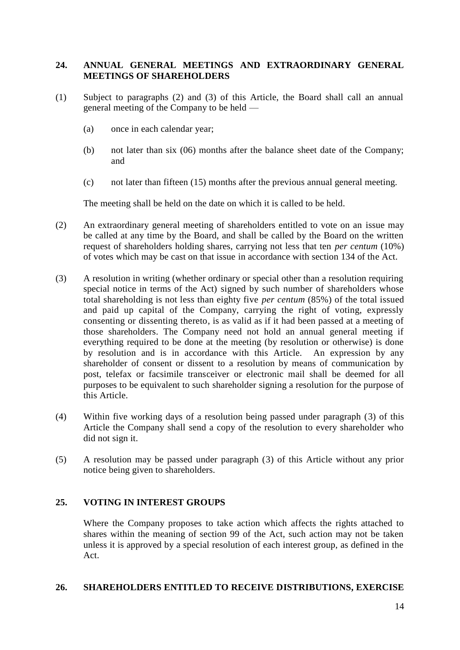## **24. ANNUAL GENERAL MEETINGS AND EXTRAORDINARY GENERAL MEETINGS OF SHAREHOLDERS**

- (1) Subject to paragraphs (2) and (3) of this Article, the Board shall call an annual general meeting of the Company to be held —
	- (a) once in each calendar year;
	- (b) not later than six (06) months after the balance sheet date of the Company; and
	- (c) not later than fifteen (15) months after the previous annual general meeting.

The meeting shall be held on the date on which it is called to be held.

- (2) An extraordinary general meeting of shareholders entitled to vote on an issue may be called at any time by the Board, and shall be called by the Board on the written request of shareholders holding shares, carrying not less that ten *per centum* (10%) of votes which may be cast on that issue in accordance with section 134 of the Act.
- (3) A resolution in writing (whether ordinary or special other than a resolution requiring special notice in terms of the Act) signed by such number of shareholders whose total shareholding is not less than eighty five *per centum* (85%) of the total issued and paid up capital of the Company, carrying the right of voting, expressly consenting or dissenting thereto, is as valid as if it had been passed at a meeting of those shareholders. The Company need not hold an annual general meeting if everything required to be done at the meeting (by resolution or otherwise) is done by resolution and is in accordance with this Article. An expression by any shareholder of consent or dissent to a resolution by means of communication by post, telefax or facsimile transceiver or electronic mail shall be deemed for all purposes to be equivalent to such shareholder signing a resolution for the purpose of this Article.
- (4) Within five working days of a resolution being passed under paragraph (3) of this Article the Company shall send a copy of the resolution to every shareholder who did not sign it.
- (5) A resolution may be passed under paragraph (3) of this Article without any prior notice being given to shareholders.

## **25. VOTING IN INTEREST GROUPS**

Where the Company proposes to take action which affects the rights attached to shares within the meaning of section 99 of the Act, such action may not be taken unless it is approved by a special resolution of each interest group, as defined in the Act.

#### **26. SHAREHOLDERS ENTITLED TO RECEIVE DISTRIBUTIONS, EXERCISE**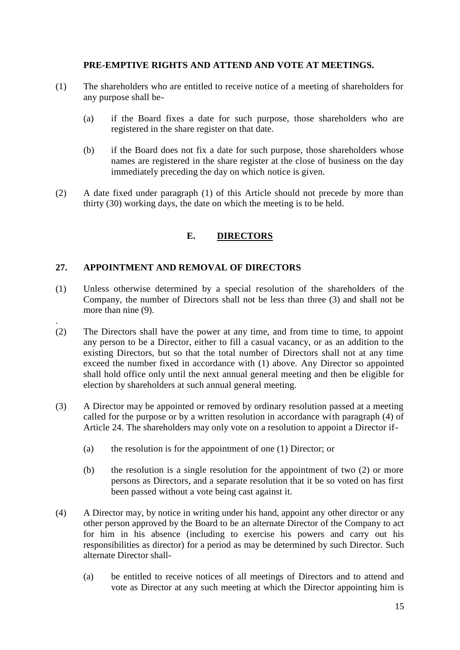## **PRE-EMPTIVE RIGHTS AND ATTEND AND VOTE AT MEETINGS.**

- (1) The shareholders who are entitled to receive notice of a meeting of shareholders for any purpose shall be-
	- (a) if the Board fixes a date for such purpose, those shareholders who are registered in the share register on that date.
	- (b) if the Board does not fix a date for such purpose, those shareholders whose names are registered in the share register at the close of business on the day immediately preceding the day on which notice is given.
- (2) A date fixed under paragraph (1) of this Article should not precede by more than thirty (30) working days, the date on which the meeting is to be held.

# **E. DIRECTORS**

## **27. APPOINTMENT AND REMOVAL OF DIRECTORS**

.

- (1) Unless otherwise determined by a special resolution of the shareholders of the Company, the number of Directors shall not be less than three (3) and shall not be more than nine (9).
- (2) The Directors shall have the power at any time, and from time to time, to appoint any person to be a Director, either to fill a casual vacancy, or as an addition to the existing Directors, but so that the total number of Directors shall not at any time exceed the number fixed in accordance with (1) above. Any Director so appointed shall hold office only until the next annual general meeting and then be eligible for election by shareholders at such annual general meeting.
- (3) A Director may be appointed or removed by ordinary resolution passed at a meeting called for the purpose or by a written resolution in accordance with paragraph (4) of Article 24. The shareholders may only vote on a resolution to appoint a Director if-
	- (a) the resolution is for the appointment of one (1) Director; or
	- (b) the resolution is a single resolution for the appointment of two (2) or more persons as Directors, and a separate resolution that it be so voted on has first been passed without a vote being cast against it.
- (4) A Director may, by notice in writing under his hand, appoint any other director or any other person approved by the Board to be an alternate Director of the Company to act for him in his absence (including to exercise his powers and carry out his responsibilities as director) for a period as may be determined by such Director. Such alternate Director shall-
	- (a) be entitled to receive notices of all meetings of Directors and to attend and vote as Director at any such meeting at which the Director appointing him is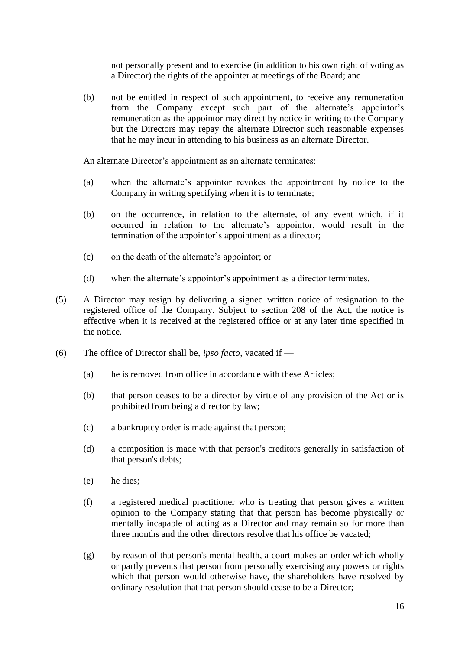not personally present and to exercise (in addition to his own right of voting as a Director) the rights of the appointer at meetings of the Board; and

(b) not be entitled in respect of such appointment, to receive any remuneration from the Company except such part of the alternate's appointor's remuneration as the appointor may direct by notice in writing to the Company but the Directors may repay the alternate Director such reasonable expenses that he may incur in attending to his business as an alternate Director.

An alternate Director's appointment as an alternate terminates:

- (a) when the alternate's appointor revokes the appointment by notice to the Company in writing specifying when it is to terminate;
- (b) on the occurrence, in relation to the alternate, of any event which, if it occurred in relation to the alternate's appointor, would result in the termination of the appointor's appointment as a director;
- (c) on the death of the alternate's appointor; or
- (d) when the alternate's appointor's appointment as a director terminates.
- (5) A Director may resign by delivering a signed written notice of resignation to the registered office of the Company. Subject to section 208 of the Act, the notice is effective when it is received at the registered office or at any later time specified in the notice.
- (6) The office of Director shall be, *ipso facto*, vacated if
	- (a) he is removed from office in accordance with these Articles;
	- (b) that person ceases to be a director by virtue of any provision of the Act or is prohibited from being a director by law;
	- (c) a bankruptcy order is made against that person;
	- (d) a composition is made with that person's creditors generally in satisfaction of that person's debts;
	- (e) he dies;
	- (f) a registered medical practitioner who is treating that person gives a written opinion to the Company stating that that person has become physically or mentally incapable of acting as a Director and may remain so for more than three months and the other directors resolve that his office be vacated;
	- (g) by reason of that person's mental health, a court makes an order which wholly or partly prevents that person from personally exercising any powers or rights which that person would otherwise have, the shareholders have resolved by ordinary resolution that that person should cease to be a Director;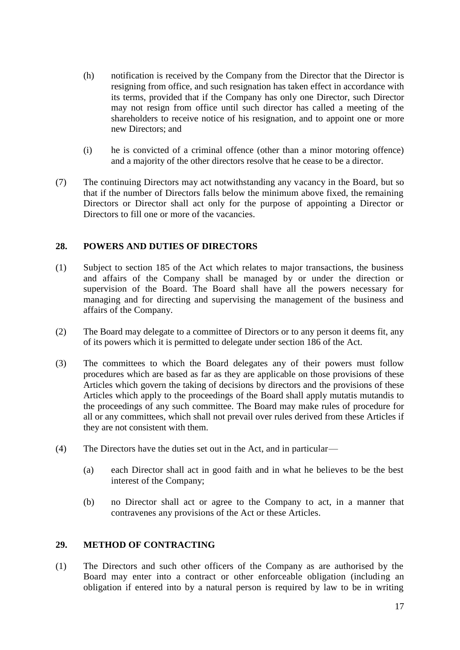- (h) notification is received by the Company from the Director that the Director is resigning from office, and such resignation has taken effect in accordance with its terms, provided that if the Company has only one Director, such Director may not resign from office until such director has called a meeting of the shareholders to receive notice of his resignation, and to appoint one or more new Directors; and
- (i) he is convicted of a criminal offence (other than a minor motoring offence) and a majority of the other directors resolve that he cease to be a director.
- (7) The continuing Directors may act notwithstanding any vacancy in the Board, but so that if the number of Directors falls below the minimum above fixed, the remaining Directors or Director shall act only for the purpose of appointing a Director or Directors to fill one or more of the vacancies.

## **28. POWERS AND DUTIES OF DIRECTORS**

- (1) Subject to section 185 of the Act which relates to major transactions, the business and affairs of the Company shall be managed by or under the direction or supervision of the Board. The Board shall have all the powers necessary for managing and for directing and supervising the management of the business and affairs of the Company.
- (2) The Board may delegate to a committee of Directors or to any person it deems fit, any of its powers which it is permitted to delegate under section 186 of the Act.
- (3) The committees to which the Board delegates any of their powers must follow procedures which are based as far as they are applicable on those provisions of these Articles which govern the taking of decisions by directors and the provisions of these Articles which apply to the proceedings of the Board shall apply mutatis mutandis to the proceedings of any such committee. The Board may make rules of procedure for all or any committees, which shall not prevail over rules derived from these Articles if they are not consistent with them.
- (4) The Directors have the duties set out in the Act, and in particular—
	- (a) each Director shall act in good faith and in what he believes to be the best interest of the Company;
	- (b) no Director shall act or agree to the Company to act, in a manner that contravenes any provisions of the Act or these Articles.

#### **29. METHOD OF CONTRACTING**

(1) The Directors and such other officers of the Company as are authorised by the Board may enter into a contract or other enforceable obligation (including an obligation if entered into by a natural person is required by law to be in writing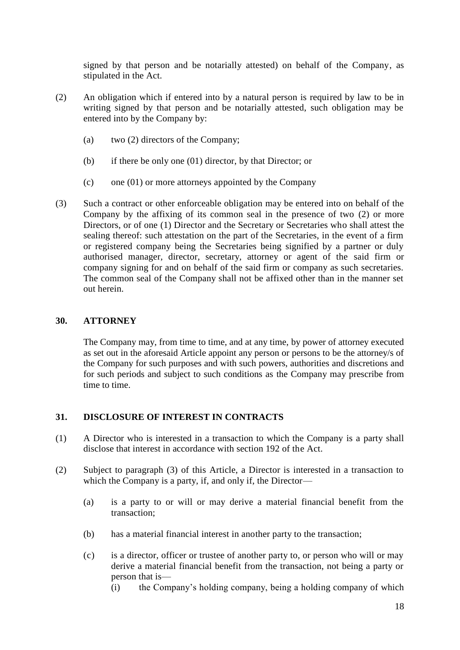signed by that person and be notarially attested) on behalf of the Company, as stipulated in the Act.

- (2) An obligation which if entered into by a natural person is required by law to be in writing signed by that person and be notarially attested, such obligation may be entered into by the Company by:
	- (a) two (2) directors of the Company;
	- (b) if there be only one (01) director, by that Director; or
	- $(c)$  one (01) or more attorneys appointed by the Company
- (3) Such a contract or other enforceable obligation may be entered into on behalf of the Company by the affixing of its common seal in the presence of two (2) or more Directors, or of one (1) Director and the Secretary or Secretaries who shall attest the sealing thereof: such attestation on the part of the Secretaries, in the event of a firm or registered company being the Secretaries being signified by a partner or duly authorised manager, director, secretary, attorney or agent of the said firm or company signing for and on behalf of the said firm or company as such secretaries. The common seal of the Company shall not be affixed other than in the manner set out herein.

# **30. ATTORNEY**

The Company may, from time to time, and at any time, by power of attorney executed as set out in the aforesaid Article appoint any person or persons to be the attorney/s of the Company for such purposes and with such powers, authorities and discretions and for such periods and subject to such conditions as the Company may prescribe from time to time.

# **31. DISCLOSURE OF INTEREST IN CONTRACTS**

- (1) A Director who is interested in a transaction to which the Company is a party shall disclose that interest in accordance with section 192 of the Act.
- (2) Subject to paragraph (3) of this Article, a Director is interested in a transaction to which the Company is a party, if, and only if, the Director—
	- (a) is a party to or will or may derive a material financial benefit from the transaction;
	- (b) has a material financial interest in another party to the transaction;
	- (c) is a director, officer or trustee of another party to, or person who will or may derive a material financial benefit from the transaction, not being a party or person that is—
		- (i) the Company's holding company, being a holding company of which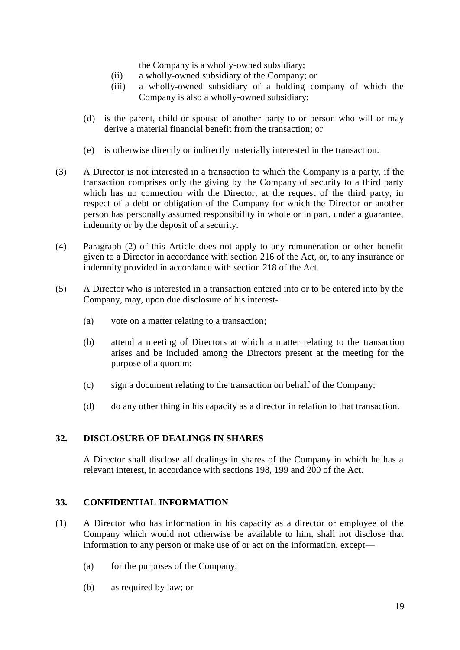the Company is a wholly-owned subsidiary;

- (ii) a wholly-owned subsidiary of the Company; or
- (iii) a wholly-owned subsidiary of a holding company of which the Company is also a wholly-owned subsidiary;
- (d) is the parent, child or spouse of another party to or person who will or may derive a material financial benefit from the transaction; or
- (e) is otherwise directly or indirectly materially interested in the transaction.
- (3) A Director is not interested in a transaction to which the Company is a party, if the transaction comprises only the giving by the Company of security to a third party which has no connection with the Director, at the request of the third party, in respect of a debt or obligation of the Company for which the Director or another person has personally assumed responsibility in whole or in part, under a guarantee, indemnity or by the deposit of a security.
- (4) Paragraph (2) of this Article does not apply to any remuneration or other benefit given to a Director in accordance with section 216 of the Act, or, to any insurance or indemnity provided in accordance with section 218 of the Act.
- (5) A Director who is interested in a transaction entered into or to be entered into by the Company, may, upon due disclosure of his interest-
	- (a) vote on a matter relating to a transaction;
	- (b) attend a meeting of Directors at which a matter relating to the transaction arises and be included among the Directors present at the meeting for the purpose of a quorum;
	- (c) sign a document relating to the transaction on behalf of the Company;
	- (d) do any other thing in his capacity as a director in relation to that transaction.

## **32. DISCLOSURE OF DEALINGS IN SHARES**

A Director shall disclose all dealings in shares of the Company in which he has a relevant interest, in accordance with sections 198, 199 and 200 of the Act.

#### **33. CONFIDENTIAL INFORMATION**

- (1) A Director who has information in his capacity as a director or employee of the Company which would not otherwise be available to him, shall not disclose that information to any person or make use of or act on the information, except—
	- (a) for the purposes of the Company;
	- (b) as required by law; or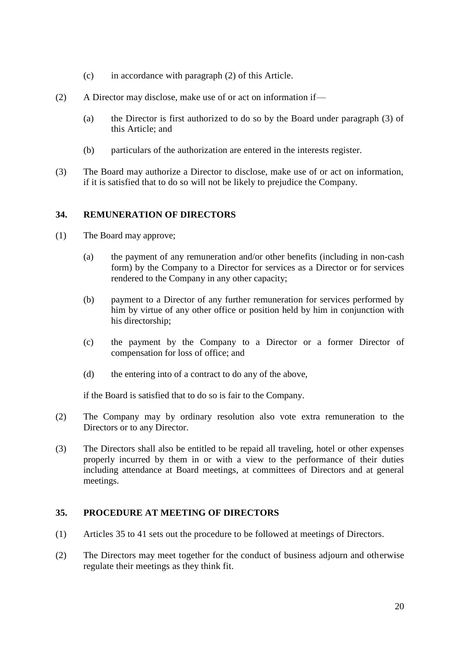- (c) in accordance with paragraph (2) of this Article.
- (2) A Director may disclose, make use of or act on information if—
	- (a) the Director is first authorized to do so by the Board under paragraph (3) of this Article; and
	- (b) particulars of the authorization are entered in the interests register.
- (3) The Board may authorize a Director to disclose, make use of or act on information, if it is satisfied that to do so will not be likely to prejudice the Company.

### **34. REMUNERATION OF DIRECTORS**

- (1) The Board may approve;
	- (a) the payment of any remuneration and/or other benefits (including in non-cash form) by the Company to a Director for services as a Director or for services rendered to the Company in any other capacity;
	- (b) payment to a Director of any further remuneration for services performed by him by virtue of any other office or position held by him in conjunction with his directorship;
	- (c) the payment by the Company to a Director or a former Director of compensation for loss of office; and
	- (d) the entering into of a contract to do any of the above,

if the Board is satisfied that to do so is fair to the Company.

- (2) The Company may by ordinary resolution also vote extra remuneration to the Directors or to any Director.
- (3) The Directors shall also be entitled to be repaid all traveling, hotel or other expenses properly incurred by them in or with a view to the performance of their duties including attendance at Board meetings, at committees of Directors and at general meetings.

#### **35. PROCEDURE AT MEETING OF DIRECTORS**

- (1) Articles 35 to 41 sets out the procedure to be followed at meetings of Directors.
- (2) The Directors may meet together for the conduct of business adjourn and otherwise regulate their meetings as they think fit.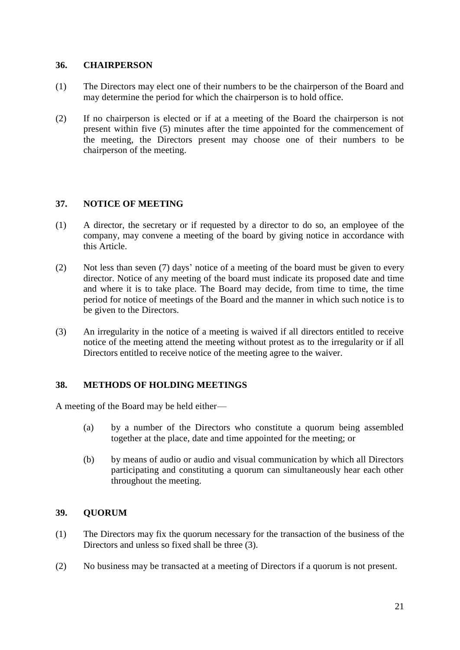### **36. CHAIRPERSON**

- (1) The Directors may elect one of their numbers to be the chairperson of the Board and may determine the period for which the chairperson is to hold office.
- (2) If no chairperson is elected or if at a meeting of the Board the chairperson is not present within five (5) minutes after the time appointed for the commencement of the meeting, the Directors present may choose one of their numbers to be chairperson of the meeting.

### **37. NOTICE OF MEETING**

- (1) A director, the secretary or if requested by a director to do so, an employee of the company, may convene a meeting of the board by giving notice in accordance with this Article.
- (2) Not less than seven (7) days' notice of a meeting of the board must be given to every director. Notice of any meeting of the board must indicate its proposed date and time and where it is to take place. The Board may decide, from time to time, the time period for notice of meetings of the Board and the manner in which such notice is to be given to the Directors.
- (3) An irregularity in the notice of a meeting is waived if all directors entitled to receive notice of the meeting attend the meeting without protest as to the irregularity or if all Directors entitled to receive notice of the meeting agree to the waiver.

## **38. METHODS OF HOLDING MEETINGS**

A meeting of the Board may be held either—

- (a) by a number of the Directors who constitute a quorum being assembled together at the place, date and time appointed for the meeting; or
- (b) by means of audio or audio and visual communication by which all Directors participating and constituting a quorum can simultaneously hear each other throughout the meeting.

#### **39. QUORUM**

- (1) The Directors may fix the quorum necessary for the transaction of the business of the Directors and unless so fixed shall be three (3).
- (2) No business may be transacted at a meeting of Directors if a quorum is not present.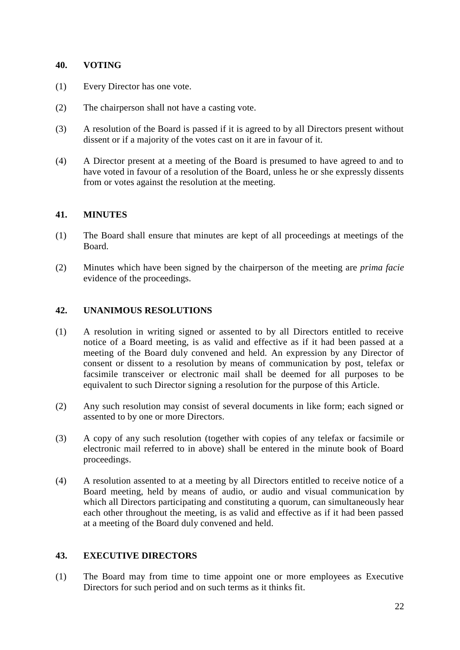### **40. VOTING**

- (1) Every Director has one vote.
- (2) The chairperson shall not have a casting vote.
- (3) A resolution of the Board is passed if it is agreed to by all Directors present without dissent or if a majority of the votes cast on it are in favour of it.
- (4) A Director present at a meeting of the Board is presumed to have agreed to and to have voted in favour of a resolution of the Board, unless he or she expressly dissents from or votes against the resolution at the meeting.

### **41. MINUTES**

- (1) The Board shall ensure that minutes are kept of all proceedings at meetings of the Board.
- (2) Minutes which have been signed by the chairperson of the meeting are *prima facie* evidence of the proceedings.

## **42. UNANIMOUS RESOLUTIONS**

- (1) A resolution in writing signed or assented to by all Directors entitled to receive notice of a Board meeting, is as valid and effective as if it had been passed at a meeting of the Board duly convened and held. An expression by any Director of consent or dissent to a resolution by means of communication by post, telefax or facsimile transceiver or electronic mail shall be deemed for all purposes to be equivalent to such Director signing a resolution for the purpose of this Article.
- (2) Any such resolution may consist of several documents in like form; each signed or assented to by one or more Directors.
- (3) A copy of any such resolution (together with copies of any telefax or facsimile or electronic mail referred to in above) shall be entered in the minute book of Board proceedings.
- (4) A resolution assented to at a meeting by all Directors entitled to receive notice of a Board meeting, held by means of audio, or audio and visual communication by which all Directors participating and constituting a quorum, can simultaneously hear each other throughout the meeting, is as valid and effective as if it had been passed at a meeting of the Board duly convened and held.

## **43. EXECUTIVE DIRECTORS**

(1) The Board may from time to time appoint one or more employees as Executive Directors for such period and on such terms as it thinks fit.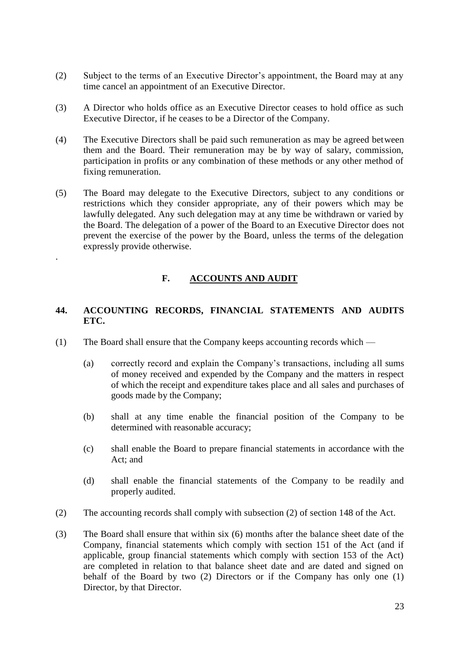- (2) Subject to the terms of an Executive Director's appointment, the Board may at any time cancel an appointment of an Executive Director.
- (3) A Director who holds office as an Executive Director ceases to hold office as such Executive Director, if he ceases to be a Director of the Company.
- (4) The Executive Directors shall be paid such remuneration as may be agreed between them and the Board. Their remuneration may be by way of salary, commission, participation in profits or any combination of these methods or any other method of fixing remuneration.
- (5) The Board may delegate to the Executive Directors, subject to any conditions or restrictions which they consider appropriate, any of their powers which may be lawfully delegated. Any such delegation may at any time be withdrawn or varied by the Board. The delegation of a power of the Board to an Executive Director does not prevent the exercise of the power by the Board, unless the terms of the delegation expressly provide otherwise.

# **F. ACCOUNTS AND AUDIT**

## **44. ACCOUNTING RECORDS, FINANCIAL STATEMENTS AND AUDITS ETC.**

(1) The Board shall ensure that the Company keeps accounting records which —

.

- (a) correctly record and explain the Company's transactions, including all sums of money received and expended by the Company and the matters in respect of which the receipt and expenditure takes place and all sales and purchases of goods made by the Company;
- (b) shall at any time enable the financial position of the Company to be determined with reasonable accuracy;
- (c) shall enable the Board to prepare financial statements in accordance with the Act; and
- (d) shall enable the financial statements of the Company to be readily and properly audited.
- (2) The accounting records shall comply with subsection (2) of section 148 of the Act.
- (3) The Board shall ensure that within six (6) months after the balance sheet date of the Company, financial statements which comply with section 151 of the Act (and if applicable, group financial statements which comply with section 153 of the Act) are completed in relation to that balance sheet date and are dated and signed on behalf of the Board by two (2) Directors or if the Company has only one (1) Director, by that Director.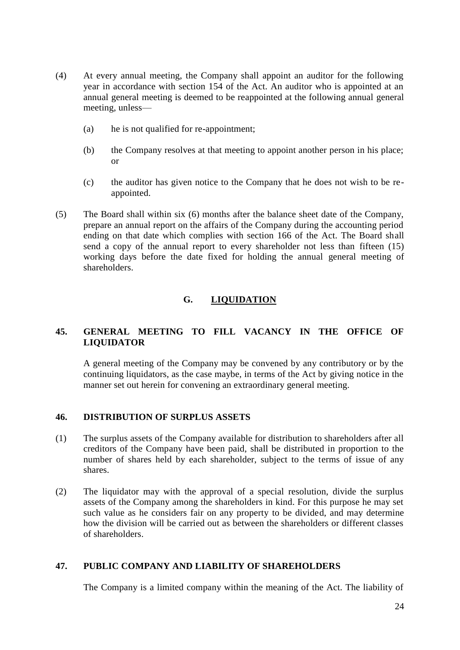- (4) At every annual meeting, the Company shall appoint an auditor for the following year in accordance with section 154 of the Act. An auditor who is appointed at an annual general meeting is deemed to be reappointed at the following annual general meeting, unless—
	- (a) he is not qualified for re-appointment;
	- (b) the Company resolves at that meeting to appoint another person in his place; or
	- (c) the auditor has given notice to the Company that he does not wish to be reappointed.
- (5) The Board shall within six (6) months after the balance sheet date of the Company, prepare an annual report on the affairs of the Company during the accounting period ending on that date which complies with section 166 of the Act. The Board shall send a copy of the annual report to every shareholder not less than fifteen (15) working days before the date fixed for holding the annual general meeting of shareholders.

# **G. LIQUIDATION**

# **45. GENERAL MEETING TO FILL VACANCY IN THE OFFICE OF LIQUIDATOR**

A general meeting of the Company may be convened by any contributory or by the continuing liquidators, as the case maybe, in terms of the Act by giving notice in the manner set out herein for convening an extraordinary general meeting.

## **46. DISTRIBUTION OF SURPLUS ASSETS**

- (1) The surplus assets of the Company available for distribution to shareholders after all creditors of the Company have been paid, shall be distributed in proportion to the number of shares held by each shareholder, subject to the terms of issue of any shares.
- (2) The liquidator may with the approval of a special resolution, divide the surplus assets of the Company among the shareholders in kind. For this purpose he may set such value as he considers fair on any property to be divided, and may determine how the division will be carried out as between the shareholders or different classes of shareholders.

## **47. PUBLIC COMPANY AND LIABILITY OF SHAREHOLDERS**

The Company is a limited company within the meaning of the Act. The liability of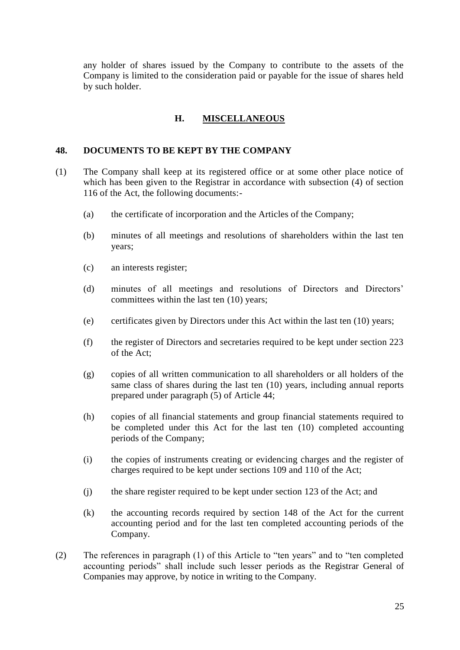any holder of shares issued by the Company to contribute to the assets of the Company is limited to the consideration paid or payable for the issue of shares held by such holder.

### **H. MISCELLANEOUS**

#### **48. DOCUMENTS TO BE KEPT BY THE COMPANY**

- (1) The Company shall keep at its registered office or at some other place notice of which has been given to the Registrar in accordance with subsection (4) of section 116 of the Act, the following documents:-
	- (a) the certificate of incorporation and the Articles of the Company;
	- (b) minutes of all meetings and resolutions of shareholders within the last ten years;
	- (c) an interests register;
	- (d) minutes of all meetings and resolutions of Directors and Directors' committees within the last ten (10) years;
	- (e) certificates given by Directors under this Act within the last ten (10) years;
	- (f) the register of Directors and secretaries required to be kept under section 223 of the Act;
	- (g) copies of all written communication to all shareholders or all holders of the same class of shares during the last ten (10) years, including annual reports prepared under paragraph (5) of Article 44;
	- (h) copies of all financial statements and group financial statements required to be completed under this Act for the last ten (10) completed accounting periods of the Company;
	- (i) the copies of instruments creating or evidencing charges and the register of charges required to be kept under sections 109 and 110 of the Act;
	- (j) the share register required to be kept under section 123 of the Act; and
	- (k) the accounting records required by section 148 of the Act for the current accounting period and for the last ten completed accounting periods of the Company.
- (2) The references in paragraph (1) of this Article to "ten years" and to "ten completed accounting periods" shall include such lesser periods as the Registrar General of Companies may approve, by notice in writing to the Company.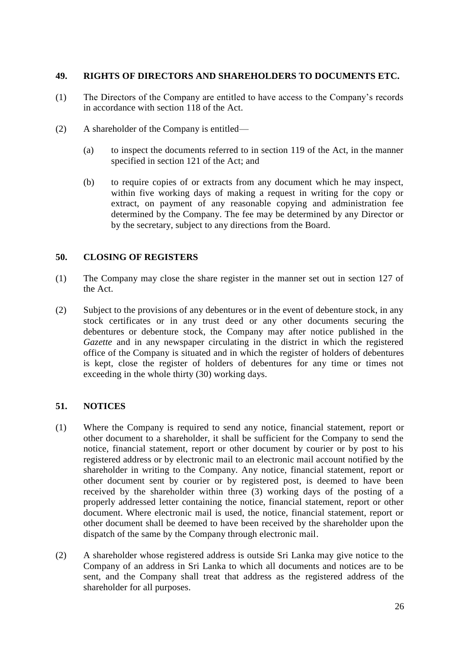## **49. RIGHTS OF DIRECTORS AND SHAREHOLDERS TO DOCUMENTS ETC.**

- (1) The Directors of the Company are entitled to have access to the Company's records in accordance with section 118 of the Act.
- (2) A shareholder of the Company is entitled—
	- (a) to inspect the documents referred to in section 119 of the Act, in the manner specified in section 121 of the Act; and
	- (b) to require copies of or extracts from any document which he may inspect, within five working days of making a request in writing for the copy or extract, on payment of any reasonable copying and administration fee determined by the Company. The fee may be determined by any Director or by the secretary, subject to any directions from the Board.

### **50. CLOSING OF REGISTERS**

- (1) The Company may close the share register in the manner set out in section 127 of the Act.
- (2) Subject to the provisions of any debentures or in the event of debenture stock, in any stock certificates or in any trust deed or any other documents securing the debentures or debenture stock, the Company may after notice published in the *Gazette* and in any newspaper circulating in the district in which the registered office of the Company is situated and in which the register of holders of debentures is kept, close the register of holders of debentures for any time or times not exceeding in the whole thirty (30) working days.

#### **51. NOTICES**

- (1) Where the Company is required to send any notice, financial statement, report or other document to a shareholder, it shall be sufficient for the Company to send the notice, financial statement, report or other document by courier or by post to his registered address or by electronic mail to an electronic mail account notified by the shareholder in writing to the Company. Any notice, financial statement, report or other document sent by courier or by registered post, is deemed to have been received by the shareholder within three (3) working days of the posting of a properly addressed letter containing the notice, financial statement, report or other document. Where electronic mail is used, the notice, financial statement, report or other document shall be deemed to have been received by the shareholder upon the dispatch of the same by the Company through electronic mail.
- (2) A shareholder whose registered address is outside Sri Lanka may give notice to the Company of an address in Sri Lanka to which all documents and notices are to be sent, and the Company shall treat that address as the registered address of the shareholder for all purposes.